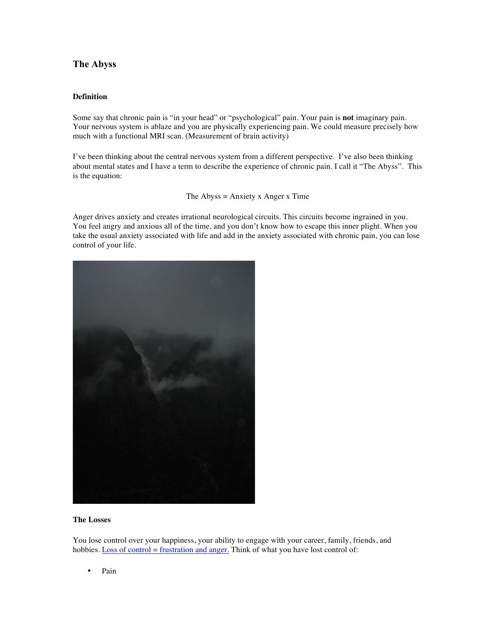## **The Abyss**

## **Definition**

Some say that chronic pain is "in your head" or "psychological" pain. Your pain is **not** imaginary pain. Your nervous system is ablaze and you are physically experiencing pain. We could measure precisely how much with a functional MRI scan. (Measurement of brain activity)

I've been thinking about the central nervous system from a different perspective. I've also been thinking about mental states and I have a term to describe the experience of chronic pain. I call it "The Abyss". This is the equation:

The Abyss  $=$  Anxiety x Anger x Time

Anger drives anxiety and creates irrational neurological circuits. This circuits become ingrained in you. You feel angry and anxious all of the time, and you don't know how to escape this inner plight. When you take the usual anxiety associated with life and add in the anxiety associated with chronic pain, you can lose control of your life.



## **The Losses**

You lose control over your happiness, your ability to engage with your career, family, friends, and hobbies. Loss of control = frustration and anger. Think of what you have lost control of:

• Pain